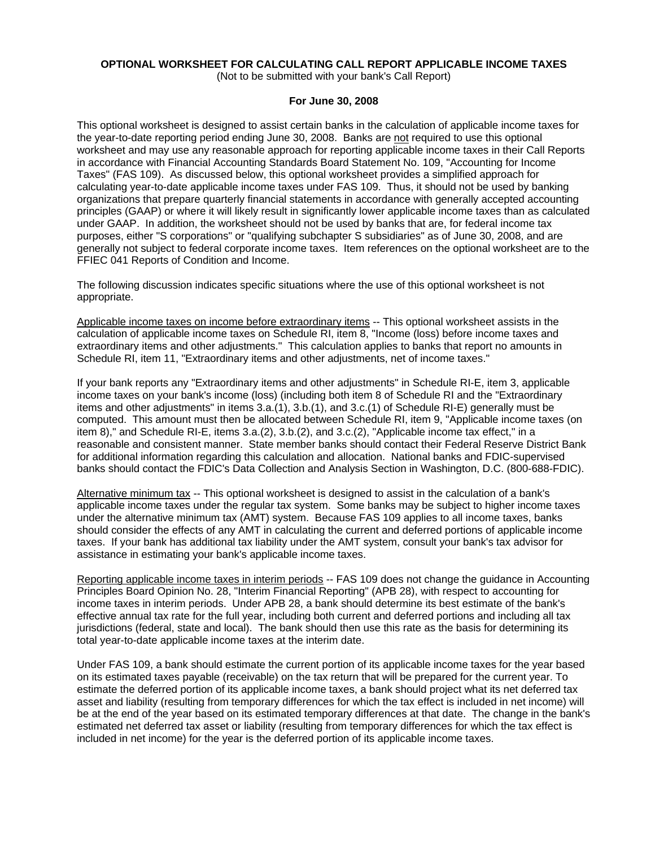# **OPTIONAL WORKSHEET FOR CALCULATING CALL REPORT APPLICABLE INCOME TAXES**

(Not to be submitted with your bank's Call Report)

### **For June 30, 2008**

This optional worksheet is designed to assist certain banks in the calculation of applicable income taxes for the year-to-date reporting period ending June 30, 2008. Banks are not required to use this optional worksheet and may use any reasonable approach for reporting applicable income taxes in their Call Reports in accordance with Financial Accounting Standards Board Statement No. 109, "Accounting for Income Taxes" (FAS 109). As discussed below, this optional worksheet provides a simplified approach for calculating year-to-date applicable income taxes under FAS 109. Thus, it should not be used by banking organizations that prepare quarterly financial statements in accordance with generally accepted accounting principles (GAAP) or where it will likely result in significantly lower applicable income taxes than as calculated under GAAP. In addition, the worksheet should not be used by banks that are, for federal income tax purposes, either "S corporations" or "qualifying subchapter S subsidiaries" as of June 30, 2008, and are generally not subject to federal corporate income taxes. Item references on the optional worksheet are to the FFIEC 041 Reports of Condition and Income.

The following discussion indicates specific situations where the use of this optional worksheet is not appropriate.

Applicable income taxes on income before extraordinary items -- This optional worksheet assists in the calculation of applicable income taxes on Schedule RI, item 8, "Income (loss) before income taxes and extraordinary items and other adjustments." This calculation applies to banks that report no amounts in Schedule RI, item 11, "Extraordinary items and other adjustments, net of income taxes."

If your bank reports any "Extraordinary items and other adjustments" in Schedule RI-E, item 3, applicable income taxes on your bank's income (loss) (including both item 8 of Schedule RI and the "Extraordinary items and other adjustments" in items 3.a.(1), 3.b.(1), and 3.c.(1) of Schedule RI-E) generally must be computed. This amount must then be allocated between Schedule RI, item 9, "Applicable income taxes (on item 8)," and Schedule RI-E, items 3.a.(2), 3.b.(2), and 3.c.(2), "Applicable income tax effect," in a reasonable and consistent manner. State member banks should contact their Federal Reserve District Bank for additional information regarding this calculation and allocation. National banks and FDIC-supervised banks should contact the FDIC's Data Collection and Analysis Section in Washington, D.C. (800-688-FDIC).

Alternative minimum tax -- This optional worksheet is designed to assist in the calculation of a bank's applicable income taxes under the regular tax system. Some banks may be subject to higher income taxes under the alternative minimum tax (AMT) system. Because FAS 109 applies to all income taxes, banks should consider the effects of any AMT in calculating the current and deferred portions of applicable income taxes. If your bank has additional tax liability under the AMT system, consult your bank's tax advisor for assistance in estimating your bank's applicable income taxes.

Reporting applicable income taxes in interim periods -- FAS 109 does not change the guidance in Accounting Principles Board Opinion No. 28, "Interim Financial Reporting" (APB 28), with respect to accounting for income taxes in interim periods. Under APB 28, a bank should determine its best estimate of the bank's effective annual tax rate for the full year, including both current and deferred portions and including all tax jurisdictions (federal, state and local). The bank should then use this rate as the basis for determining its total year-to-date applicable income taxes at the interim date.

Under FAS 109, a bank should estimate the current portion of its applicable income taxes for the year based on its estimated taxes payable (receivable) on the tax return that will be prepared for the current year. To estimate the deferred portion of its applicable income taxes, a bank should project what its net deferred tax asset and liability (resulting from temporary differences for which the tax effect is included in net income) will be at the end of the year based on its estimated temporary differences at that date. The change in the bank's estimated net deferred tax asset or liability (resulting from temporary differences for which the tax effect is included in net income) for the year is the deferred portion of its applicable income taxes.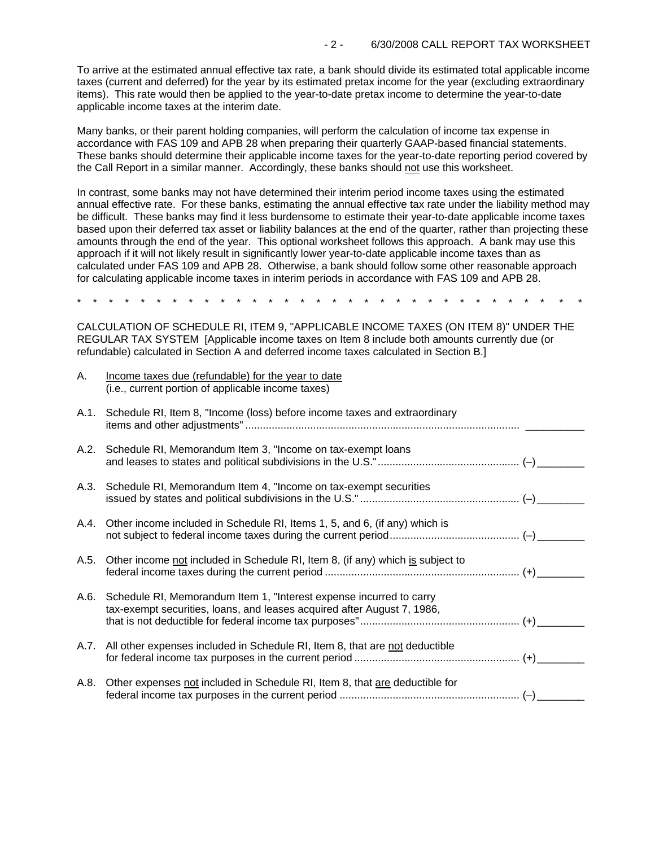To arrive at the estimated annual effective tax rate, a bank should divide its estimated total applicable income taxes (current and deferred) for the year by its estimated pretax income for the year (excluding extraordinary items). This rate would then be applied to the year-to-date pretax income to determine the year-to-date applicable income taxes at the interim date.

Many banks, or their parent holding companies, will perform the calculation of income tax expense in accordance with FAS 109 and APB 28 when preparing their quarterly GAAP-based financial statements. These banks should determine their applicable income taxes for the year-to-date reporting period covered by the Call Report in a similar manner. Accordingly, these banks should not use this worksheet.

In contrast, some banks may not have determined their interim period income taxes using the estimated annual effective rate. For these banks, estimating the annual effective tax rate under the liability method may be difficult. These banks may find it less burdensome to estimate their year-to-date applicable income taxes based upon their deferred tax asset or liability balances at the end of the quarter, rather than projecting these amounts through the end of the year. This optional worksheet follows this approach. A bank may use this approach if it will not likely result in significantly lower year-to-date applicable income taxes than as calculated under FAS 109 and APB 28. Otherwise, a bank should follow some other reasonable approach for calculating applicable income taxes in interim periods in accordance with FAS 109 and APB 28.

\* \* \* \* \* \* \* \* \* \* \* \* \* \* \* \* \* \* \* \* \* \* \* \* \* \* \* \* \* \* \* \*

CALCULATION OF SCHEDULE RI, ITEM 9, "APPLICABLE INCOME TAXES (ON ITEM 8)" UNDER THE REGULAR TAX SYSTEM [Applicable income taxes on Item 8 include both amounts currently due (or refundable) calculated in Section A and deferred income taxes calculated in Section B.]

| Α.   | Income taxes due (refundable) for the year to date<br>(i.e., current portion of applicable income taxes)                                            |  |
|------|-----------------------------------------------------------------------------------------------------------------------------------------------------|--|
| A.1. | Schedule RI, Item 8, "Income (loss) before income taxes and extraordinary                                                                           |  |
|      | A.2. Schedule RI, Memorandum Item 3, "Income on tax-exempt loans"                                                                                   |  |
|      | A.3. Schedule RI, Memorandum Item 4, "Income on tax-exempt securities                                                                               |  |
|      | A.4. Other income included in Schedule RI, Items 1, 5, and 6, (if any) which is                                                                     |  |
| A.5. | Other income not included in Schedule RI, Item 8, (if any) which is subject to                                                                      |  |
|      | A.6. Schedule RI, Memorandum Item 1, "Interest expense incurred to carry<br>tax-exempt securities, loans, and leases acquired after August 7, 1986, |  |
|      | A.7. All other expenses included in Schedule RI, Item 8, that are not deductible                                                                    |  |
| A.8. | Other expenses not included in Schedule RI, Item 8, that are deductible for                                                                         |  |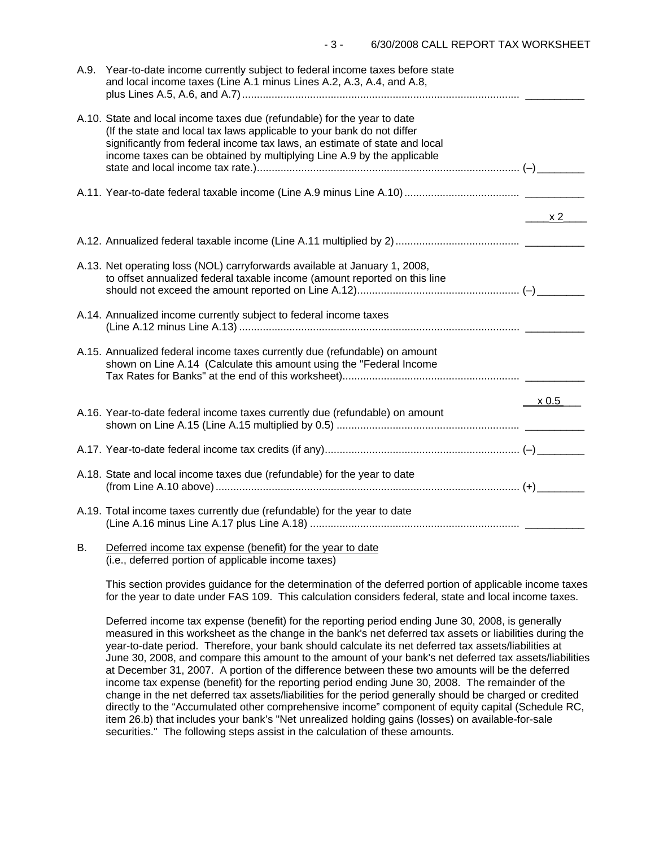| A.9. Year-to-date income currently subject to federal income taxes before state<br>and local income taxes (Line A.1 minus Lines A.2, A.3, A.4, and A.8,                                                                                                                                                    |                              |
|------------------------------------------------------------------------------------------------------------------------------------------------------------------------------------------------------------------------------------------------------------------------------------------------------------|------------------------------|
| A.10. State and local income taxes due (refundable) for the year to date<br>(If the state and local tax laws applicable to your bank do not differ<br>significantly from federal income tax laws, an estimate of state and local<br>income taxes can be obtained by multiplying Line A.9 by the applicable |                              |
|                                                                                                                                                                                                                                                                                                            |                              |
|                                                                                                                                                                                                                                                                                                            | $\overline{\phantom{1}}$ x 2 |
|                                                                                                                                                                                                                                                                                                            |                              |
| A.13. Net operating loss (NOL) carryforwards available at January 1, 2008,<br>to offset annualized federal taxable income (amount reported on this line                                                                                                                                                    |                              |
| A.14. Annualized income currently subject to federal income taxes                                                                                                                                                                                                                                          |                              |
| A.15. Annualized federal income taxes currently due (refundable) on amount<br>shown on Line A.14 (Calculate this amount using the "Federal Income                                                                                                                                                          |                              |
|                                                                                                                                                                                                                                                                                                            | x 0.5                        |
| A.16. Year-to-date federal income taxes currently due (refundable) on amount                                                                                                                                                                                                                               |                              |
|                                                                                                                                                                                                                                                                                                            |                              |
| A.18. State and local income taxes due (refundable) for the year to date                                                                                                                                                                                                                                   |                              |
| A.19. Total income taxes currently due (refundable) for the year to date                                                                                                                                                                                                                                   |                              |
| <b>P</b> Deferred income tax expense (benefit) for the year to date                                                                                                                                                                                                                                        |                              |

#### B. Deferred income tax expense (benefit) for the year to date (i.e., deferred portion of applicable income taxes)

This section provides guidance for the determination of the deferred portion of applicable income taxes for the year to date under FAS 109. This calculation considers federal, state and local income taxes.

Deferred income tax expense (benefit) for the reporting period ending June 30, 2008, is generally measured in this worksheet as the change in the bank's net deferred tax assets or liabilities during the year-to-date period. Therefore, your bank should calculate its net deferred tax assets/liabilities at June 30, 2008, and compare this amount to the amount of your bank's net deferred tax assets/liabilities at December 31, 2007. A portion of the difference between these two amounts will be the deferred income tax expense (benefit) for the reporting period ending June 30, 2008. The remainder of the change in the net deferred tax assets/liabilities for the period generally should be charged or credited directly to the "Accumulated other comprehensive income" component of equity capital (Schedule RC, item 26.b) that includes your bank's "Net unrealized holding gains (losses) on available-for-sale securities." The following steps assist in the calculation of these amounts.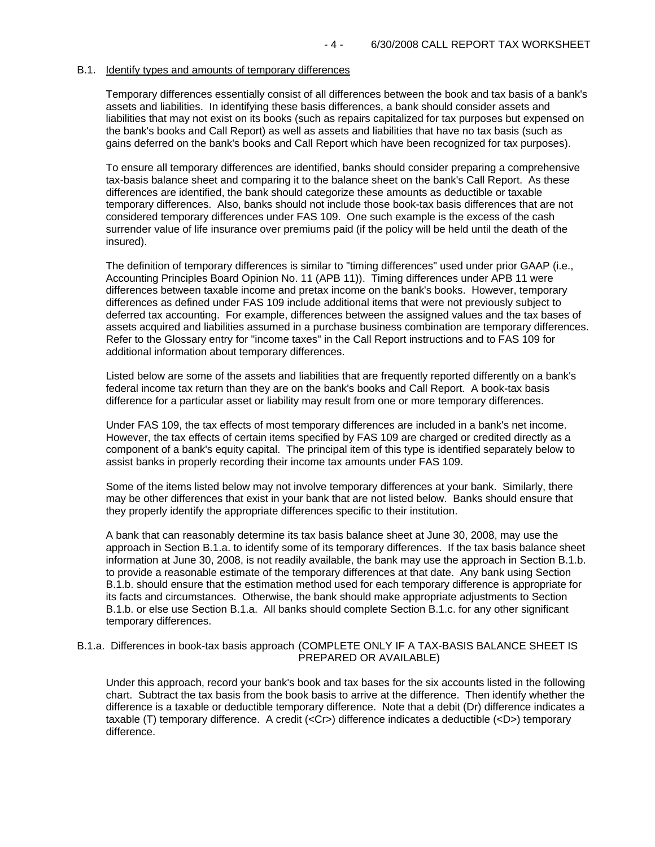#### B.1. Identify types and amounts of temporary differences

Temporary differences essentially consist of all differences between the book and tax basis of a bank's assets and liabilities. In identifying these basis differences, a bank should consider assets and liabilities that may not exist on its books (such as repairs capitalized for tax purposes but expensed on the bank's books and Call Report) as well as assets and liabilities that have no tax basis (such as gains deferred on the bank's books and Call Report which have been recognized for tax purposes).

To ensure all temporary differences are identified, banks should consider preparing a comprehensive tax-basis balance sheet and comparing it to the balance sheet on the bank's Call Report. As these differences are identified, the bank should categorize these amounts as deductible or taxable temporary differences. Also, banks should not include those book-tax basis differences that are not considered temporary differences under FAS 109. One such example is the excess of the cash surrender value of life insurance over premiums paid (if the policy will be held until the death of the insured).

The definition of temporary differences is similar to "timing differences" used under prior GAAP (i.e., Accounting Principles Board Opinion No. 11 (APB 11)). Timing differences under APB 11 were differences between taxable income and pretax income on the bank's books. However, temporary differences as defined under FAS 109 include additional items that were not previously subject to deferred tax accounting. For example, differences between the assigned values and the tax bases of assets acquired and liabilities assumed in a purchase business combination are temporary differences. Refer to the Glossary entry for "income taxes" in the Call Report instructions and to FAS 109 for additional information about temporary differences.

Listed below are some of the assets and liabilities that are frequently reported differently on a bank's federal income tax return than they are on the bank's books and Call Report. A book-tax basis difference for a particular asset or liability may result from one or more temporary differences.

Under FAS 109, the tax effects of most temporary differences are included in a bank's net income. However, the tax effects of certain items specified by FAS 109 are charged or credited directly as a component of a bank's equity capital. The principal item of this type is identified separately below to assist banks in properly recording their income tax amounts under FAS 109.

Some of the items listed below may not involve temporary differences at your bank. Similarly, there may be other differences that exist in your bank that are not listed below. Banks should ensure that they properly identify the appropriate differences specific to their institution.

A bank that can reasonably determine its tax basis balance sheet at June 30, 2008, may use the approach in Section B.1.a. to identify some of its temporary differences. If the tax basis balance sheet information at June 30, 2008, is not readily available, the bank may use the approach in Section B.1.b. to provide a reasonable estimate of the temporary differences at that date. Any bank using Section B.1.b. should ensure that the estimation method used for each temporary difference is appropriate for its facts and circumstances. Otherwise, the bank should make appropriate adjustments to Section B.1.b. or else use Section B.1.a. All banks should complete Section B.1.c. for any other significant temporary differences.

#### B.1.a. Differences in book-tax basis approach (COMPLETE ONLY IF A TAX-BASIS BALANCE SHEET IS PREPARED OR AVAILABLE)

Under this approach, record your bank's book and tax bases for the six accounts listed in the following chart. Subtract the tax basis from the book basis to arrive at the difference. Then identify whether the difference is a taxable or deductible temporary difference. Note that a debit (Dr) difference indicates a taxable (T) temporary difference. A credit (<Cr>) difference indicates a deductible (<D>) temporary difference.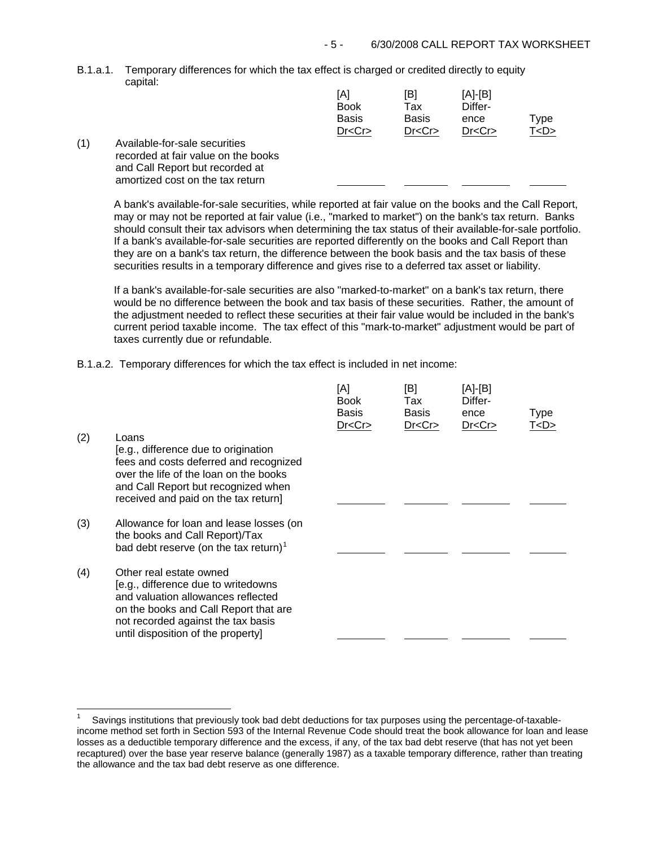B.1.a.1. Temporary differences for which the tax effect is charged or credited directly to equity capital:

|              | [A]<br><b>Book</b><br><b>Basis</b><br>Dr < Cr | [B]<br>Tax<br><b>Basis</b><br>Dr < Cr | $[A]-[B]$<br>Differ-<br>ence<br>Dr < Cr | Type<br>T < D > |
|--------------|-----------------------------------------------|---------------------------------------|-----------------------------------------|-----------------|
| s<br>e books |                                               |                                       |                                         |                 |

(1) Available-for-sale securities recorded at fair value on the and Call Report but recorded at amortized cost on the tax return

j.

A bank's available-for-sale securities, while reported at fair value on the books and the Call Report, may or may not be reported at fair value (i.e., "marked to market") on the bank's tax return. Banks should consult their tax advisors when determining the tax status of their available-for-sale portfolio. If a bank's available-for-sale securities are reported differently on the books and Call Report than they are on a bank's tax return, the difference between the book basis and the tax basis of these securities results in a temporary difference and gives rise to a deferred tax asset or liability.

If a bank's available-for-sale securities are also "marked-to-market" on a bank's tax return, there would be no difference between the book and tax basis of these securities. Rather, the amount of the adjustment needed to reflect these securities at their fair value would be included in the bank's current period taxable income. The tax effect of this "mark-to-market" adjustment would be part of taxes currently due or refundable.

B.1.a.2. Temporary differences for which the tax effect is included in net income:

| (2) | Loans<br>[e.g., difference due to origination<br>fees and costs deferred and recognized<br>over the life of the loan on the books<br>and Call Report but recognized when<br>received and paid on the tax return]          | [A]<br><b>Book</b><br>Basis<br>Dr < Cr | [B]<br>Tax<br>Basis<br>Dr < Cr | [A]-[B]<br>Differ-<br>ence<br>Dr < Cr | <b>Type</b><br>T <d></d> |
|-----|---------------------------------------------------------------------------------------------------------------------------------------------------------------------------------------------------------------------------|----------------------------------------|--------------------------------|---------------------------------------|--------------------------|
| (3) | Allowance for loan and lease losses (on<br>the books and Call Report)/Tax<br>bad debt reserve (on the tax return) <sup>1</sup>                                                                                            |                                        |                                |                                       |                          |
| (4) | Other real estate owned<br>[e.g., difference due to writedowns<br>and valuation allowances reflected<br>on the books and Call Report that are<br>not recorded against the tax basis<br>until disposition of the property] |                                        |                                |                                       |                          |

<span id="page-4-0"></span><sup>1</sup> Savings institutions that previously took bad debt deductions for tax purposes using the percentage-of-taxableincome method set forth in Section 593 of the Internal Revenue Code should treat the book allowance for loan and lease losses as a deductible temporary difference and the excess, if any, of the tax bad debt reserve (that has not yet been recaptured) over the base year reserve balance (generally 1987) as a taxable temporary difference, rather than treating the allowance and the tax bad debt reserve as one difference.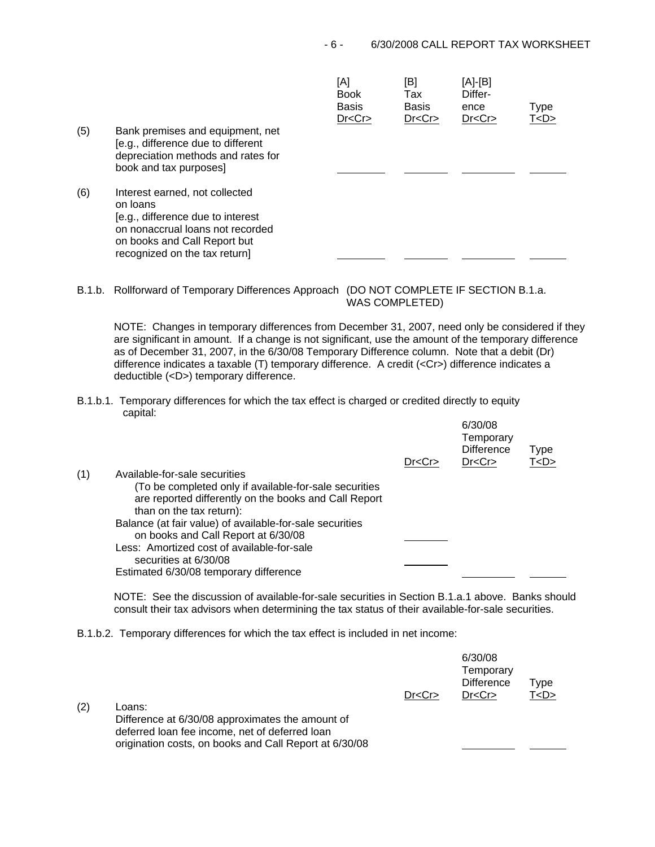| (5) | Bank premises and equipment, net<br>[e.g., difference due to different<br>depreciation methods and rates for<br>book and tax purposes]                                               | [A]<br><b>Book</b><br><b>Basis</b><br>Dr < Cr | [B]<br>Tax<br><b>Basis</b><br>Dr < Cr | [A]-[B]<br>Differ-<br>ence<br>Dr < Cr | Type<br>T < D > |
|-----|--------------------------------------------------------------------------------------------------------------------------------------------------------------------------------------|-----------------------------------------------|---------------------------------------|---------------------------------------|-----------------|
| (6) | Interest earned, not collected<br>on loans<br>[e.g., difference due to interest<br>on nonaccrual loans not recorded<br>on books and Call Report but<br>recognized on the tax return] |                                               |                                       |                                       |                 |

 $\overline{A}$ 

B.1.b. Rollforward of Temporary Differences Approach (DO NOT COMPLETE IF SECTION B.1.a.

WAS COMPLETED)

NOTE: Changes in temporary differences from December 31, 2007, need only be considered if they are significant in amount. If a change is not significant, use the amount of the temporary difference as of December 31, 2007, in the 6/30/08 Temporary Difference column. Note that a debit (Dr) difference indicates a taxable (T) temporary difference. A credit (<Cr>) difference indicates a deductible (<D>) temporary difference.

B.1.b.1. Temporary differences for which the tax effect is charged or credited directly to equity capital:

|     |                                                                                                                                             | Dr < Cr | 6/30/08<br>Temporary<br><b>Difference</b><br>Dr < Cr | Type<br>T < D > |
|-----|---------------------------------------------------------------------------------------------------------------------------------------------|---------|------------------------------------------------------|-----------------|
| (1) | Available-for-sale securities                                                                                                               |         |                                                      |                 |
|     | (To be completed only if available-for-sale securities<br>are reported differently on the books and Call Report<br>than on the tax return): |         |                                                      |                 |
|     | Balance (at fair value) of available-for-sale securities<br>on books and Call Report at 6/30/08                                             |         |                                                      |                 |
|     | Less: Amortized cost of available-for-sale<br>securities at 6/30/08                                                                         |         |                                                      |                 |
|     | Estimated 6/30/08 temporary difference                                                                                                      |         |                                                      |                 |

NOTE: See the discussion of available-for-sale securities in Section B.1.a.1 above. Banks should consult their tax advisors when determining the tax status of their available-for-sale securities.

B.1.b.2. Temporary differences for which the tax effect is included in net income:

| (2) | Loans:<br>Difference at 6/30/08 approximates the amount of<br>deferred loan fee income, net of deferred loan<br>origination costs, on books and Call Report at 6/30/08 | Dr < Cr | 6/30/08<br>Temporary<br><b>Difference</b><br>Dr < Cr | ™уре<br>T < D > 1 |
|-----|------------------------------------------------------------------------------------------------------------------------------------------------------------------------|---------|------------------------------------------------------|-------------------|
|     |                                                                                                                                                                        |         |                                                      |                   |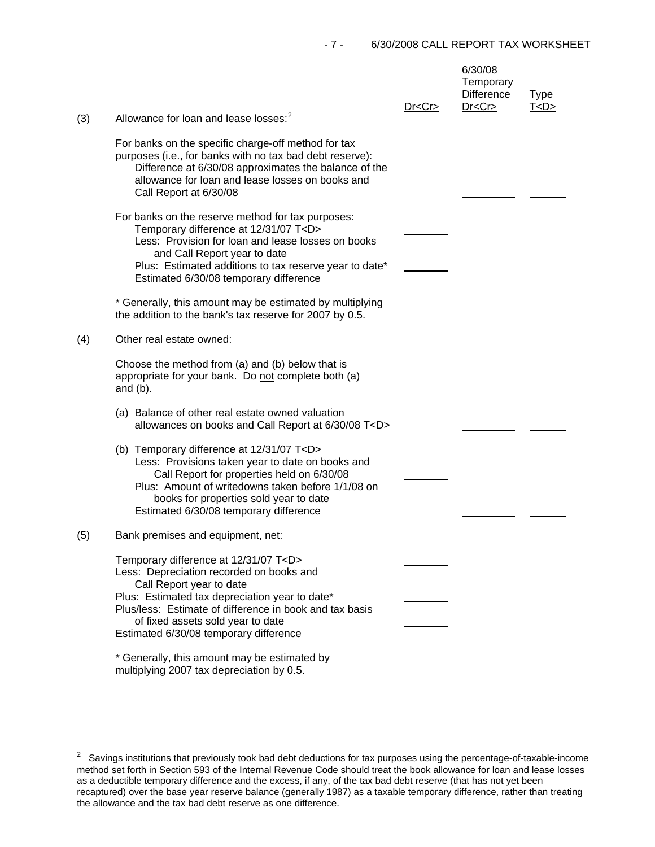| (3) | Allowance for loan and lease losses: <sup>2</sup>                                                                                                                                                                                                                                                                                                                                                                      | Dr < Cr | 6/30/08<br>Temporary<br><b>Difference</b><br>Dr < Cr | <b>Type</b><br>T < D > |
|-----|------------------------------------------------------------------------------------------------------------------------------------------------------------------------------------------------------------------------------------------------------------------------------------------------------------------------------------------------------------------------------------------------------------------------|---------|------------------------------------------------------|------------------------|
|     | For banks on the specific charge-off method for tax<br>purposes (i.e., for banks with no tax bad debt reserve):<br>Difference at 6/30/08 approximates the balance of the<br>allowance for loan and lease losses on books and<br>Call Report at 6/30/08                                                                                                                                                                 |         |                                                      |                        |
|     | For banks on the reserve method for tax purposes:<br>Temporary difference at 12/31/07 T <d><br/>Less: Provision for loan and lease losses on books<br/>and Call Report year to date<br/>Plus: Estimated additions to tax reserve year to date*<br/>Estimated 6/30/08 temporary difference<br/>* Generally, this amount may be estimated by multiplying<br/>the addition to the bank's tax reserve for 2007 by 0.5.</d> |         |                                                      |                        |
| (4) | Other real estate owned:                                                                                                                                                                                                                                                                                                                                                                                               |         |                                                      |                        |
|     | Choose the method from (a) and (b) below that is<br>appropriate for your bank. Do not complete both (a)<br>and $(b)$ .                                                                                                                                                                                                                                                                                                 |         |                                                      |                        |
|     | (a) Balance of other real estate owned valuation<br>allowances on books and Call Report at 6/30/08 T <d></d>                                                                                                                                                                                                                                                                                                           |         |                                                      |                        |
|     | (b) Temporary difference at 12/31/07 T <d><br/>Less: Provisions taken year to date on books and<br/>Call Report for properties held on 6/30/08<br/>Plus: Amount of writedowns taken before 1/1/08 on<br/>books for properties sold year to date<br/>Estimated 6/30/08 temporary difference</d>                                                                                                                         |         |                                                      |                        |
| (5) | Bank premises and equipment, net:                                                                                                                                                                                                                                                                                                                                                                                      |         |                                                      |                        |
|     | Temporary difference at 12/31/07 T <d><br/>Less: Depreciation recorded on books and<br/>Call Report year to date<br/>Plus: Estimated tax depreciation year to date*<br/>Plus/less: Estimate of difference in book and tax basis<br/>of fixed assets sold year to date<br/>Estimated 6/30/08 temporary difference</d>                                                                                                   |         |                                                      |                        |
|     | * Generally, this amount may be estimated by                                                                                                                                                                                                                                                                                                                                                                           |         |                                                      |                        |

multiplying 2007 tax depreciation by 0.5.

<span id="page-6-0"></span> $\overline{c}$ 2 Savings institutions that previously took bad debt deductions for tax purposes using the percentage-of-taxable-income method set forth in Section 593 of the Internal Revenue Code should treat the book allowance for loan and lease losses as a deductible temporary difference and the excess, if any, of the tax bad debt reserve (that has not yet been recaptured) over the base year reserve balance (generally 1987) as a taxable temporary difference, rather than treating the allowance and the tax bad debt reserve as one difference.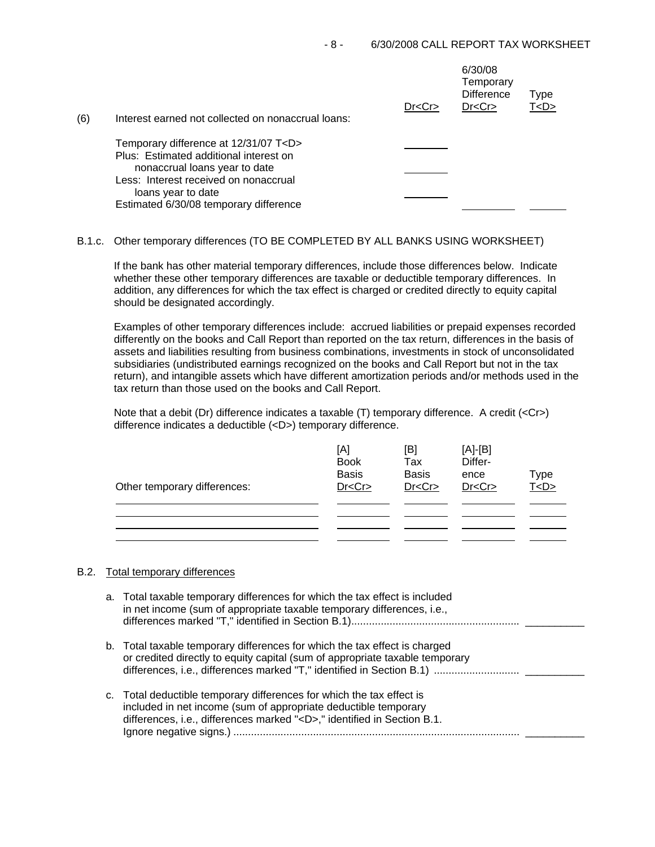| (6) | Interest earned not collected on nonaccrual loans:                                                                      | Dr < Cr | 6/30/08<br>Temporary<br><b>Difference</b><br>Dr < Cr | Type<br>T <d></d> |
|-----|-------------------------------------------------------------------------------------------------------------------------|---------|------------------------------------------------------|-------------------|
|     | Temporary difference at 12/31/07 T <d><br/>Plus: Estimated additional interest on<br/>nonaccrual loans year to date</d> |         |                                                      |                   |
|     | Less: Interest received on nonaccrual<br>loans year to date<br>Estimated 6/30/08 temporary difference                   |         |                                                      |                   |

## B.1.c. Other temporary differences (TO BE COMPLETED BY ALL BANKS USING WORKSHEET)

If the bank has other material temporary differences, include those differences below. Indicate whether these other temporary differences are taxable or deductible temporary differences. In addition, any differences for which the tax effect is charged or credited directly to equity capital should be designated accordingly.

Examples of other temporary differences include: accrued liabilities or prepaid expenses recorded differently on the books and Call Report than reported on the tax return, differences in the basis of assets and liabilities resulting from business combinations, investments in stock of unconsolidated subsidiaries (undistributed earnings recognized on the books and Call Report but not in the tax return), and intangible assets which have different amortization periods and/or methods used in the tax return than those used on the books and Call Report.

Note that a debit (Dr) difference indicates a taxable (T) temporary difference. A credit (<Cr>) difference indicates a deductible (<D>) temporary difference.

| Other temporary differences: | [A]<br><b>Book</b><br><b>Basis</b><br>Dr < Cr | [B]<br>Tax<br><b>Basis</b><br>Dr < Cr | $[A]-[B]$<br>Differ-<br>ence<br>Dr < Cr | Type<br>T <d></d> |
|------------------------------|-----------------------------------------------|---------------------------------------|-----------------------------------------|-------------------|
|                              |                                               |                                       |                                         |                   |

### B.2. Total temporary differences

| a. Total taxable temporary differences for which the tax effect is included<br>in net income (sum of appropriate taxable temporary differences, i.e.,                                                                    |
|--------------------------------------------------------------------------------------------------------------------------------------------------------------------------------------------------------------------------|
| b. Total taxable temporary differences for which the tax effect is charged<br>or credited directly to equity capital (sum of appropriate taxable temporary                                                               |
| c. Total deductible temporary differences for which the tax effect is<br>included in net income (sum of appropriate deductible temporary<br>differences, i.e., differences marked " <d>," identified in Section B.1.</d> |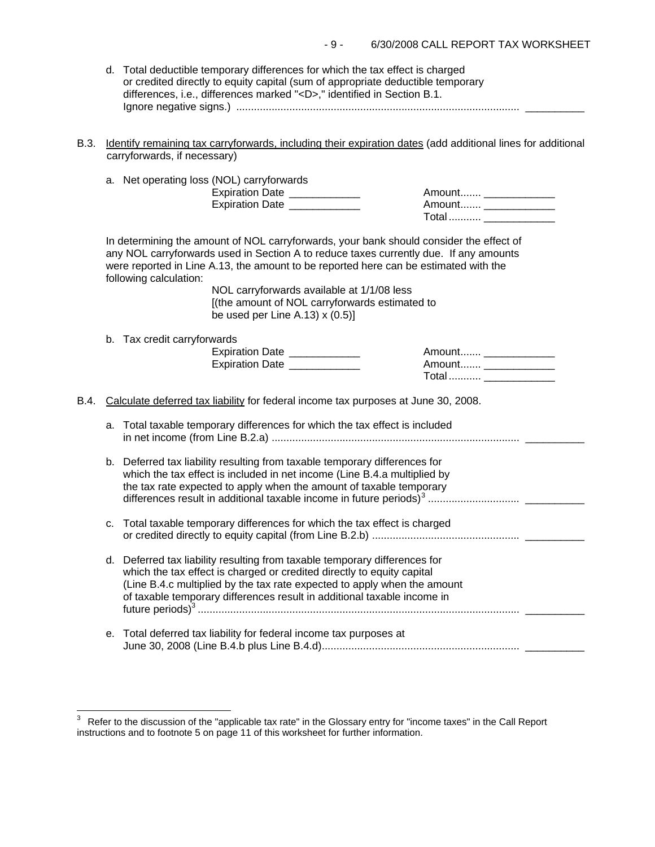| d. Total deductible temporary differences for which the tax effect is charged   |
|---------------------------------------------------------------------------------|
| or credited directly to equity capital (sum of appropriate deductible temporary |
| differences, i.e., differences marked " <d>," identified in Section B.1.</d>    |
|                                                                                 |

B.3. Identify remaining tax carryforwards, including their expiration dates (add additional lines for additional carryforwards, if necessary)

|      |    | a. Net operating loss (NOL) carryforwards<br>Expiration Date ____________<br>Expiration Date ____________                                                                                                                                                                                                                                                                                          | Total  ______________                            |  |
|------|----|----------------------------------------------------------------------------------------------------------------------------------------------------------------------------------------------------------------------------------------------------------------------------------------------------------------------------------------------------------------------------------------------------|--------------------------------------------------|--|
|      |    | In determining the amount of NOL carryforwards, your bank should consider the effect of<br>any NOL carryforwards used in Section A to reduce taxes currently due. If any amounts<br>were reported in Line A.13, the amount to be reported here can be estimated with the<br>following calculation:<br>NOL carryforwards available at 1/1/08 less<br>[(the amount of NOL carryforwards estimated to |                                                  |  |
|      |    | be used per Line A.13) $x(0.5)$ ]<br>b. Tax credit carryforwards<br>Expiration Date _____________<br>Expiration Date _____________                                                                                                                                                                                                                                                                 | Amount _______________<br>Amount _______________ |  |
| B.4. |    | Calculate deferred tax liability for federal income tax purposes at June 30, 2008.                                                                                                                                                                                                                                                                                                                 |                                                  |  |
|      | a. | Total taxable temporary differences for which the tax effect is included                                                                                                                                                                                                                                                                                                                           |                                                  |  |
|      |    | b. Deferred tax liability resulting from taxable temporary differences for<br>which the tax effect is included in net income (Line B.4.a multiplied by<br>the tax rate expected to apply when the amount of taxable temporary                                                                                                                                                                      |                                                  |  |
|      | с. | Total taxable temporary differences for which the tax effect is charged                                                                                                                                                                                                                                                                                                                            |                                                  |  |
|      |    | d. Deferred tax liability resulting from taxable temporary differences for<br>which the tax effect is charged or credited directly to equity capital<br>(Line B.4.c multiplied by the tax rate expected to apply when the amount<br>of taxable temporary differences result in additional taxable income in                                                                                        |                                                  |  |
|      | е. | Total deferred tax liability for federal income tax purposes at                                                                                                                                                                                                                                                                                                                                    |                                                  |  |

 $\overline{a}$ 

<span id="page-8-0"></span> $3$  Refer to the discussion of the "applicable tax rate" in the Glossary entry for "income taxes" in the Call Report instructions and to footnote 5 on page 11 of this worksheet for further information.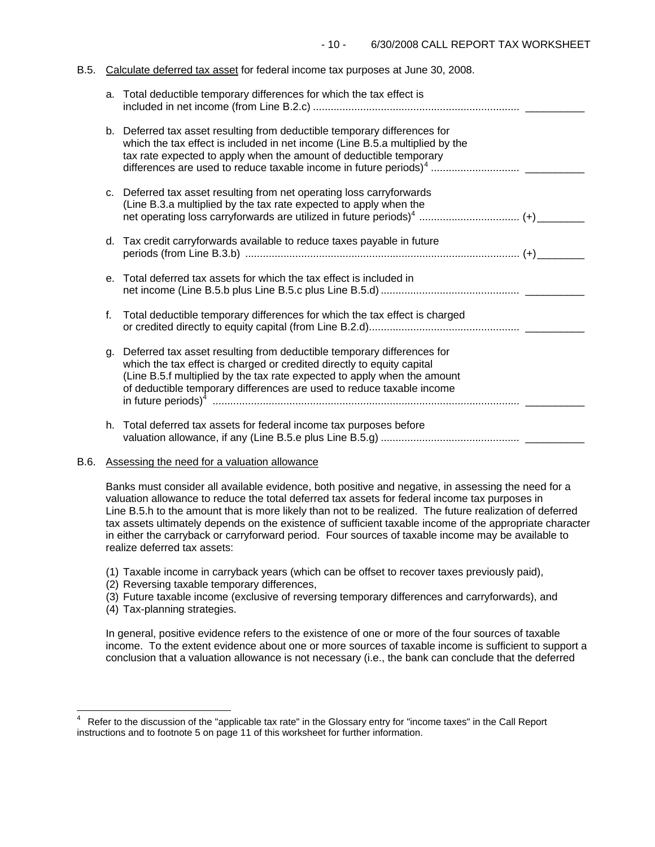#### B.5. Calculate deferred tax asset for federal income tax purposes at June 30, 2008.

|    | a. Total deductible temporary differences for which the tax effect is                                                                                                                                                                                                                                 |  |
|----|-------------------------------------------------------------------------------------------------------------------------------------------------------------------------------------------------------------------------------------------------------------------------------------------------------|--|
|    | b. Deferred tax asset resulting from deductible temporary differences for<br>which the tax effect is included in net income (Line B.5.a multiplied by the<br>tax rate expected to apply when the amount of deductible temporary                                                                       |  |
|    | c. Deferred tax asset resulting from net operating loss carryforwards<br>(Line B.3.a multiplied by the tax rate expected to apply when the                                                                                                                                                            |  |
|    | d. Tax credit carryforwards available to reduce taxes payable in future                                                                                                                                                                                                                               |  |
| е. | Total deferred tax assets for which the tax effect is included in                                                                                                                                                                                                                                     |  |
| f. | Total deductible temporary differences for which the tax effect is charged                                                                                                                                                                                                                            |  |
| g. | Deferred tax asset resulting from deductible temporary differences for<br>which the tax effect is charged or credited directly to equity capital<br>(Line B.5.f multiplied by the tax rate expected to apply when the amount<br>of deductible temporary differences are used to reduce taxable income |  |
|    | h. Total deferred tax assets for federal income tax purposes before                                                                                                                                                                                                                                   |  |

## B.6. Assessing the need for a valuation allowance

Banks must consider all available evidence, both positive and negative, in assessing the need for a valuation allowance to reduce the total deferred tax assets for federal income tax purposes in Line B.5.h to the amount that is more likely than not to be realized. The future realization of deferred tax assets ultimately depends on the existence of sufficient taxable income of the appropriate character in either the carryback or carryforward period. Four sources of taxable income may be available to realize deferred tax assets:

- (1) Taxable income in carryback years (which can be offset to recover taxes previously paid),
- (2) Reversing taxable temporary differences,
- (3) Future taxable income (exclusive of reversing temporary differences and carryforwards), and
- (4) Tax-planning strategies.

 $\frac{1}{2}$ 

In general, positive evidence refers to the existence of one or more of the four sources of taxable income. To the extent evidence about one or more sources of taxable income is sufficient to support a conclusion that a valuation allowance is not necessary (i.e., the bank can conclude that the deferred

<span id="page-9-0"></span><sup>4</sup> Refer to the discussion of the "applicable tax rate" in the Glossary entry for "income taxes" in the Call Report instructions and to footnote 5 on page 11 of this worksheet for further information.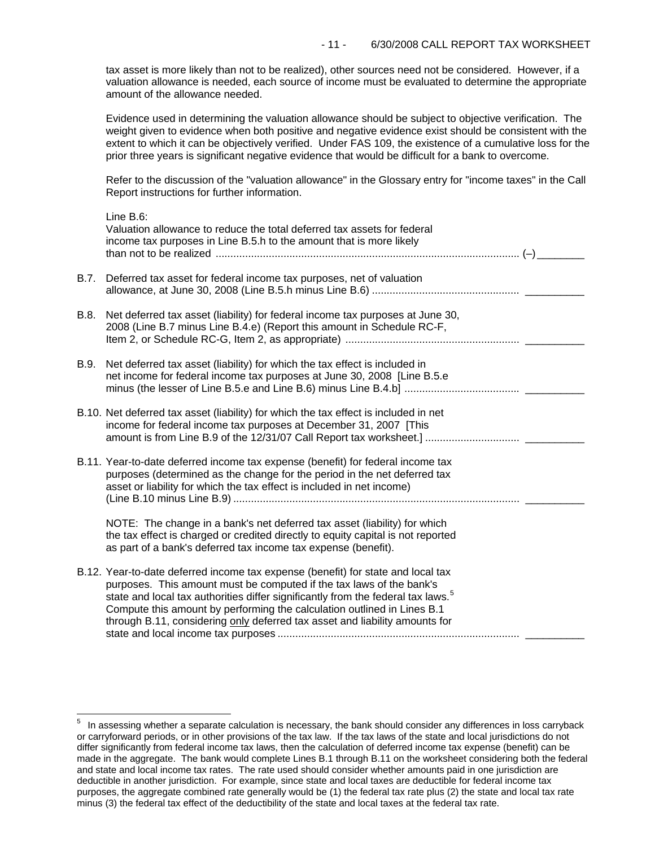tax asset is more likely than not to be realized), other sources need not be considered. However, if a valuation allowance is needed, each source of income must be evaluated to determine the appropriate amount of the allowance needed.

Evidence used in determining the valuation allowance should be subject to objective verification. The weight given to evidence when both positive and negative evidence exist should be consistent with the extent to which it can be objectively verified. Under FAS 109, the existence of a cumulative loss for the prior three years is significant negative evidence that would be difficult for a bank to overcome.

Refer to the discussion of the "valuation allowance" in the Glossary entry for "income taxes" in the Call Report instructions for further information.

|      | Line B.6:<br>Valuation allowance to reduce the total deferred tax assets for federal<br>income tax purposes in Line B.5.h to the amount that is more likely                                                                                                                                                                                                                                                        |
|------|--------------------------------------------------------------------------------------------------------------------------------------------------------------------------------------------------------------------------------------------------------------------------------------------------------------------------------------------------------------------------------------------------------------------|
| B.7. | Deferred tax asset for federal income tax purposes, net of valuation                                                                                                                                                                                                                                                                                                                                               |
| B.8. | Net deferred tax asset (liability) for federal income tax purposes at June 30,<br>2008 (Line B.7 minus Line B.4.e) (Report this amount in Schedule RC-F,                                                                                                                                                                                                                                                           |
| B.9. | Net deferred tax asset (liability) for which the tax effect is included in<br>net income for federal income tax purposes at June 30, 2008 [Line B.5.e                                                                                                                                                                                                                                                              |
|      | B.10. Net deferred tax asset (liability) for which the tax effect is included in net<br>income for federal income tax purposes at December 31, 2007 [This                                                                                                                                                                                                                                                          |
|      | B.11. Year-to-date deferred income tax expense (benefit) for federal income tax<br>purposes (determined as the change for the period in the net deferred tax<br>asset or liability for which the tax effect is included in net income)                                                                                                                                                                             |
|      | NOTE: The change in a bank's net deferred tax asset (liability) for which<br>the tax effect is charged or credited directly to equity capital is not reported<br>as part of a bank's deferred tax income tax expense (benefit).                                                                                                                                                                                    |
|      | B.12. Year-to-date deferred income tax expense (benefit) for state and local tax<br>purposes. This amount must be computed if the tax laws of the bank's<br>state and local tax authorities differ significantly from the federal tax laws. <sup>5</sup><br>Compute this amount by performing the calculation outlined in Lines B.1<br>through B.11, considering only deferred tax asset and liability amounts for |

i<br>L

<span id="page-10-0"></span> $5$  In assessing whether a separate calculation is necessary, the bank should consider any differences in loss carryback or carryforward periods, or in other provisions of the tax law. If the tax laws of the state and local jurisdictions do not differ significantly from federal income tax laws, then the calculation of deferred income tax expense (benefit) can be made in the aggregate. The bank would complete Lines B.1 through B.11 on the worksheet considering both the federal and state and local income tax rates. The rate used should consider whether amounts paid in one jurisdiction are deductible in another jurisdiction. For example, since state and local taxes are deductible for federal income tax purposes, the aggregate combined rate generally would be (1) the federal tax rate plus (2) the state and local tax rate minus (3) the federal tax effect of the deductibility of the state and local taxes at the federal tax rate.